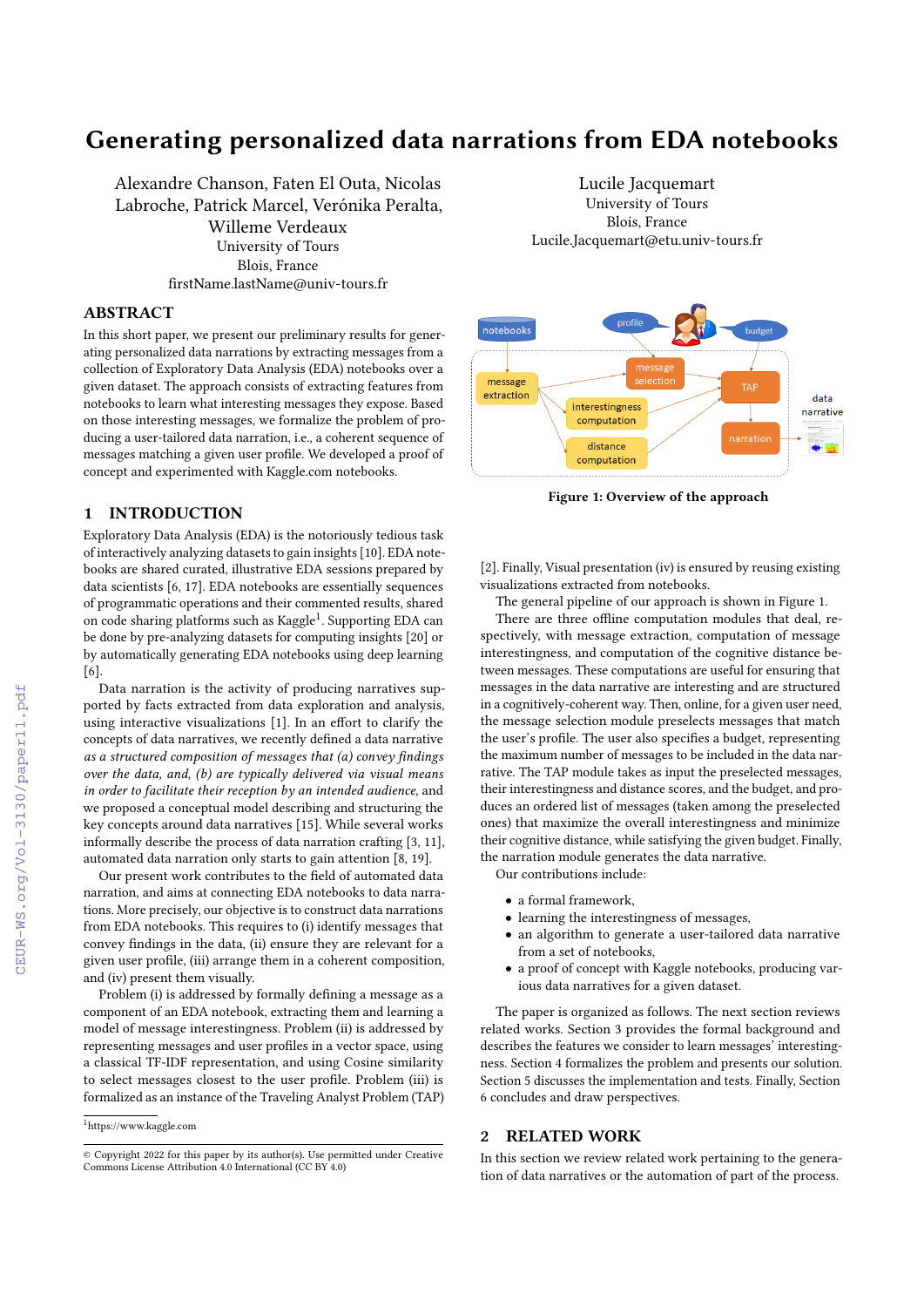# Generating personalized data narrations from EDA notebooks

Alexandre Chanson, Faten El Outa, Nicolas Labroche, Patrick Marcel, Verónika Peralta, Willeme Verdeaux University of Tours Blois, France firstName.lastName@univ-tours.fr

# ABSTRACT

In this short paper, we present our preliminary results for generating personalized data narrations by extracting messages from a collection of Exploratory Data Analysis (EDA) notebooks over a given dataset. The approach consists of extracting features from notebooks to learn what interesting messages they expose. Based on those interesting messages, we formalize the problem of producing a user-tailored data narration, i.e., a coherent sequence of messages matching a given user profile. We developed a proof of concept and experimented with Kaggle.com notebooks.

# 1 INTRODUCTION

Exploratory Data Analysis (EDA) is the notoriously tedious task of interactively analyzing datasets to gain insights [\[10\]](#page--1-0). EDA notebooks are shared curated, illustrative EDA sessions prepared by data scientists [\[6,](#page--1-1) [17\]](#page--1-2). EDA notebooks are essentially sequences of programmatic operations and their commented results, shared on code sharing platforms such as Kaggle<sup>[1](#page-0-0)</sup>. Supporting EDA can be done by pre-analyzing datasets for computing insights [\[20\]](#page--1-3) or by automatically generating EDA notebooks using deep learning [\[6\]](#page--1-1).

Data narration is the activity of producing narratives supported by facts extracted from data exploration and analysis, using interactive visualizations [\[1\]](#page--1-4). In an effort to clarify the concepts of data narratives, we recently defined a data narrative as a structured composition of messages that (a) convey findings over the data, and, (b) are typically delivered via visual means in order to facilitate their reception by an intended audience, and we proposed a conceptual model describing and structuring the key concepts around data narratives [\[15\]](#page--1-5). While several works informally describe the process of data narration crafting [\[3,](#page--1-6) [11\]](#page--1-7), automated data narration only starts to gain attention [\[8,](#page--1-8) [19\]](#page--1-9).

Our present work contributes to the field of automated data narration, and aims at connecting EDA notebooks to data narrations. More precisely, our objective is to construct data narrations from EDA notebooks. This requires to (i) identify messages that convey findings in the data, (ii) ensure they are relevant for a given user profile, (iii) arrange them in a coherent composition, and (iv) present them visually.

Problem (i) is addressed by formally defining a message as a component of an EDA notebook, extracting them and learning a model of message interestingness. Problem (ii) is addressed by representing messages and user profiles in a vector space, using a classical TF-IDF representation, and using Cosine similarity to select messages closest to the user profile. Problem (iii) is formalized as an instance of the Traveling Analyst Problem (TAP)

<span id="page-0-0"></span><sup>1</sup><https://www.kaggle.com>

Lucile Jacquemart University of Tours Blois, France Lucile.Jacquemart@etu.univ-tours.fr

<span id="page-0-1"></span>

Figure 1: Overview of the approach

[\[2\]](#page--1-10). Finally, Visual presentation (iv) is ensured by reusing existing visualizations extracted from notebooks.

The general pipeline of our approach is shown in Figure [1.](#page-0-1)

There are three offline computation modules that deal, respectively, with message extraction, computation of message interestingness, and computation of the cognitive distance between messages. These computations are useful for ensuring that messages in the data narrative are interesting and are structured in a cognitively-coherent way. Then, online, for a given user need, the message selection module preselects messages that match the user's profile. The user also specifies a budget, representing the maximum number of messages to be included in the data narrative. The TAP module takes as input the preselected messages, their interestingness and distance scores, and the budget, and produces an ordered list of messages (taken among the preselected ones) that maximize the overall interestingness and minimize their cognitive distance, while satisfying the given budget. Finally, the narration module generates the data narrative. Our contributions include:

• a formal framework,

- learning the interestingness of messages,
- an algorithm to generate a user-tailored data narrative from a set of notebooks,
- a proof of concept with Kaggle notebooks, producing various data narratives for a given dataset.

The paper is organized as follows. The next section reviews related works. Section [3](#page--1-11) provides the formal background and describes the features we consider to learn messages' interestingness. Section [4](#page--1-12) formalizes the problem and presents our solution. Section [5](#page--1-12) discusses the implementation and tests. Finally, Section [6](#page--1-12) concludes and draw perspectives.

# 2 RELATED WORK

In this section we review related work pertaining to the generation of data narratives or the automation of part of the process.

<sup>©</sup> Copyright 2022 for this paper by its author(s). Use permitted under Creative Commons License Attribution 4.0 International (CC BY 4.0)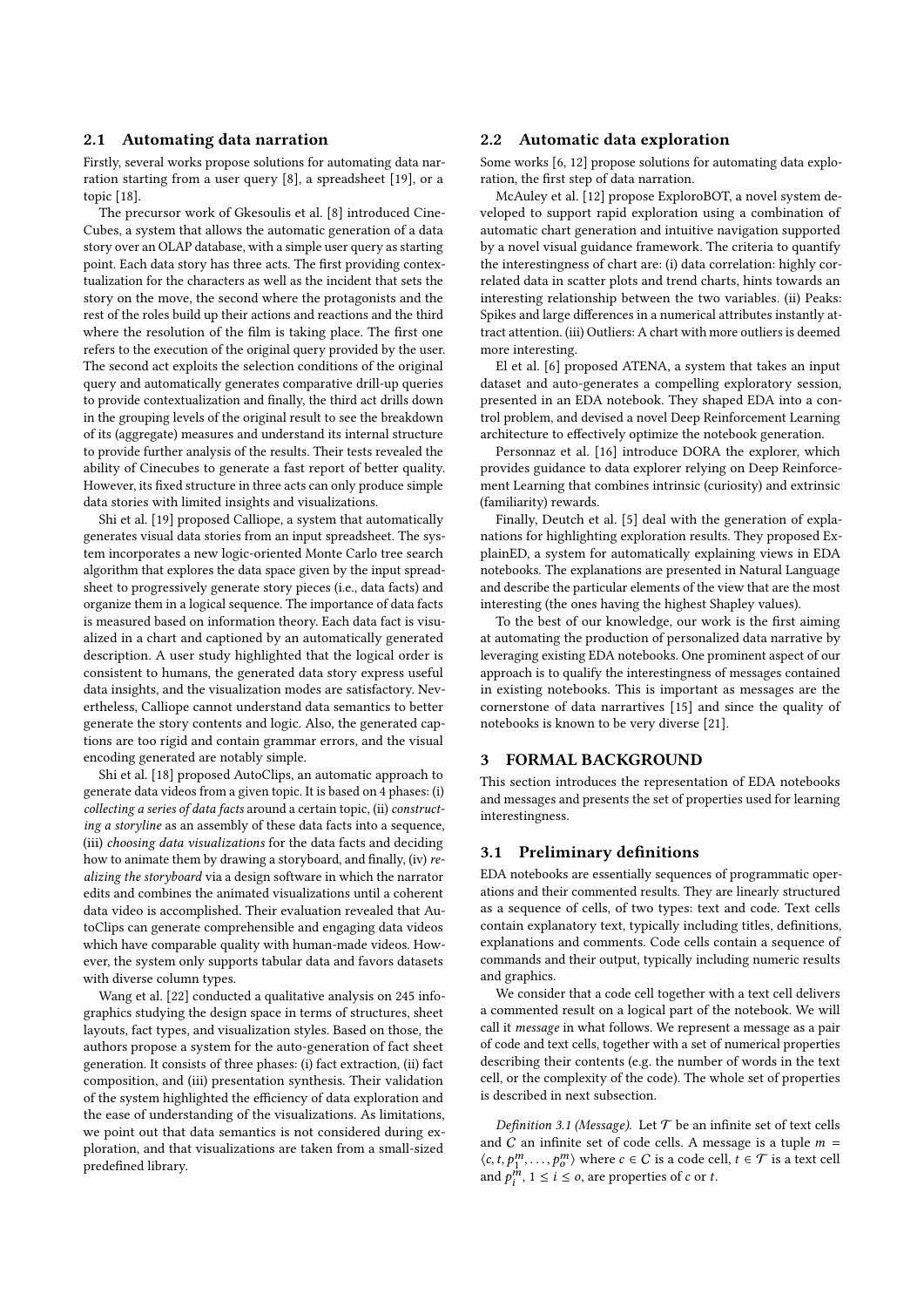## 2.1 Automating data narration

Firstly, several works propose solutions for automating data narration starting from a user query [\[8\]](#page-4-0), a spreadsheet [\[19\]](#page-4-1), or a topic [\[18\]](#page-4-2).

The precursor work of Gkesoulis et al. [\[8\]](#page-4-0) introduced Cine-Cubes, a system that allows the automatic generation of a data story over an OLAP database, with a simple user query as starting point. Each data story has three acts. The first providing contextualization for the characters as well as the incident that sets the story on the move, the second where the protagonists and the rest of the roles build up their actions and reactions and the third where the resolution of the film is taking place. The first one refers to the execution of the original query provided by the user. The second act exploits the selection conditions of the original query and automatically generates comparative drill-up queries to provide contextualization and finally, the third act drills down in the grouping levels of the original result to see the breakdown of its (aggregate) measures and understand its internal structure to provide further analysis of the results. Their tests revealed the ability of Cinecubes to generate a fast report of better quality. However, its fixed structure in three acts can only produce simple data stories with limited insights and visualizations.

Shi et al. [\[19\]](#page-4-1) proposed Calliope, a system that automatically generates visual data stories from an input spreadsheet. The system incorporates a new logic-oriented Monte Carlo tree search algorithm that explores the data space given by the input spreadsheet to progressively generate story pieces (i.e., data facts) and organize them in a logical sequence. The importance of data facts is measured based on information theory. Each data fact is visualized in a chart and captioned by an automatically generated description. A user study highlighted that the logical order is consistent to humans, the generated data story express useful data insights, and the visualization modes are satisfactory. Nevertheless, Calliope cannot understand data semantics to better generate the story contents and logic. Also, the generated captions are too rigid and contain grammar errors, and the visual encoding generated are notably simple.

Shi et al. [\[18\]](#page-4-2) proposed AutoClips, an automatic approach to generate data videos from a given topic. It is based on 4 phases: (i) collecting a series of data facts around a certain topic, (ii) constructing a storyline as an assembly of these data facts into a sequence, (iii) choosing data visualizations for the data facts and deciding how to animate them by drawing a storyboard, and finally, (iv) realizing the storyboard via a design software in which the narrator edits and combines the animated visualizations until a coherent data video is accomplished. Their evaluation revealed that AutoClips can generate comprehensible and engaging data videos which have comparable quality with human-made videos. However, the system only supports tabular data and favors datasets with diverse column types.

Wang et al. [\[22\]](#page-4-3) conducted a qualitative analysis on 245 infographics studying the design space in terms of structures, sheet layouts, fact types, and visualization styles. Based on those, the authors propose a system for the auto-generation of fact sheet generation. It consists of three phases: (i) fact extraction, (ii) fact composition, and (iii) presentation synthesis. Their validation of the system highlighted the efficiency of data exploration and the ease of understanding of the visualizations. As limitations, we point out that data semantics is not considered during exploration, and that visualizations are taken from a small-sized predefined library.

## 2.2 Automatic data exploration

Some works [\[6,](#page-4-4) [12\]](#page-4-5) propose solutions for automating data exploration, the first step of data narration.

McAuley et al. [\[12\]](#page-4-5) propose ExploroBOT, a novel system developed to support rapid exploration using a combination of automatic chart generation and intuitive navigation supported by a novel visual guidance framework. The criteria to quantify the interestingness of chart are: (i) data correlation: highly correlated data in scatter plots and trend charts, hints towards an interesting relationship between the two variables. (ii) Peaks: Spikes and large differences in a numerical attributes instantly attract attention. (iii) Outliers: A chart with more outliers is deemed more interesting.

El et al. [\[6\]](#page-4-4) proposed ATENA, a system that takes an input dataset and auto-generates a compelling exploratory session, presented in an EDA notebook. They shaped EDA into a control problem, and devised a novel Deep Reinforcement Learning architecture to effectively optimize the notebook generation.

Personnaz et al. [\[16\]](#page-4-6) introduce DORA the explorer, which provides guidance to data explorer relying on Deep Reinforcement Learning that combines intrinsic (curiosity) and extrinsic (familiarity) rewards.

Finally, Deutch et al. [\[5\]](#page-4-7) deal with the generation of explanations for highlighting exploration results. They proposed ExplainED, a system for automatically explaining views in EDA notebooks. The explanations are presented in Natural Language and describe the particular elements of the view that are the most interesting (the ones having the highest Shapley values).

To the best of our knowledge, our work is the first aiming at automating the production of personalized data narrative by leveraging existing EDA notebooks. One prominent aspect of our approach is to qualify the interestingness of messages contained in existing notebooks. This is important as messages are the cornerstone of data narrartives [\[15\]](#page-4-8) and since the quality of notebooks is known to be very diverse [\[21\]](#page-4-9).

# 3 FORMAL BACKGROUND

This section introduces the representation of EDA notebooks and messages and presents the set of properties used for learning interestingness.

## 3.1 Preliminary definitions

EDA notebooks are essentially sequences of programmatic operations and their commented results. They are linearly structured as a sequence of cells, of two types: text and code. Text cells contain explanatory text, typically including titles, definitions, explanations and comments. Code cells contain a sequence of commands and their output, typically including numeric results and graphics.

We consider that a code cell together with a text cell delivers a commented result on a logical part of the notebook. We will call it message in what follows. We represent a message as a pair of code and text cells, together with a set of numerical properties describing their contents (e.g. the number of words in the text cell, or the complexity of the code). The whole set of properties is described in next subsection.

Definition 3.1 (Message). Let  $T$  be an infinite set of text cells and  $C$  an infinite set of code cells. A message is a tuple  $m =$  $\langle c, t, p_1^m, \ldots, p_0^m \rangle$  where  $c \in C$  is a code cell,  $t \in \mathcal{T}$  is a text cell and  $p_i^m$ ,  $1 \le i \le o$ , are properties of c or t.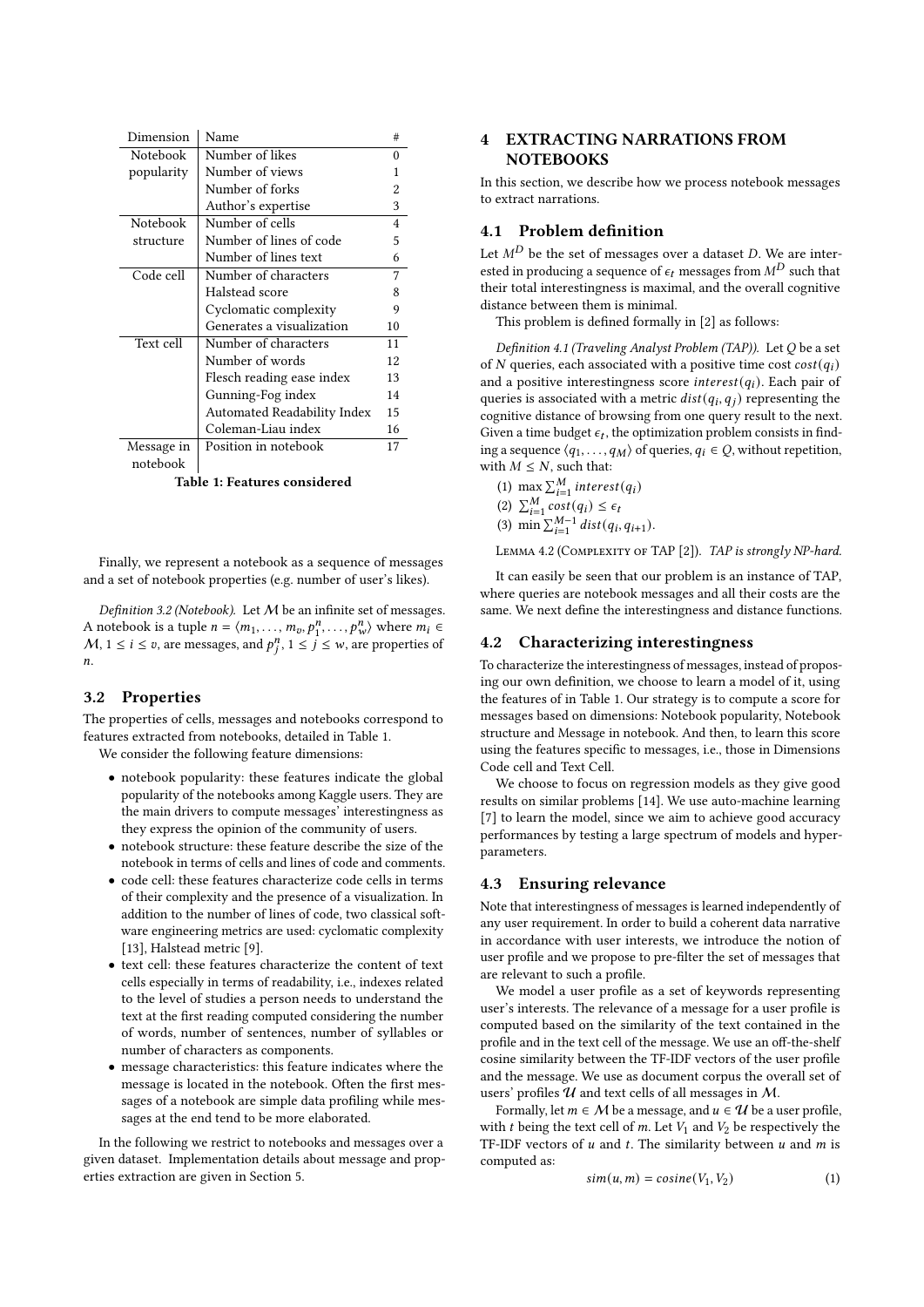<span id="page-2-0"></span>

| Dimension       | Name                        | #  |
|-----------------|-----------------------------|----|
| <b>Notebook</b> | Number of likes             | 0  |
| popularity      | Number of views             | 1  |
|                 | Number of forks             | 2  |
|                 | Author's expertise          | 3  |
| Notebook        | Number of cells             |    |
| structure       | Number of lines of code     |    |
|                 | Number of lines text        | 6  |
| Code cell       | Number of characters        |    |
|                 | Halstead score              | 8  |
|                 | Cyclomatic complexity       | 9  |
|                 | Generates a visualization   | 10 |
| Text cell       | Number of characters        | 11 |
|                 | Number of words             | 12 |
|                 | Flesch reading ease index   | 13 |
|                 | Gunning-Fog index           | 14 |
|                 | Automated Readability Index | 15 |
|                 | Coleman-Liau index          | 16 |
| Message in      | Position in notebook        | 17 |
| notebook        |                             |    |

Table 1: Features considered

Finally, we represent a notebook as a sequence of messages and a set of notebook properties (e.g. number of user's likes).

Definition 3.2 (Notebook). Let  $M$  be an infinite set of messages. A notebook is a tuple  $n = \langle m_1, \ldots, m_v, p_1^n, \ldots, p_w^n \rangle$  where  $m_i \in$  $M, 1 \le i \le v$ , are messages, and  $p_i^n, 1 \le j \le w$ , are properties of n.

## 3.2 Properties

The properties of cells, messages and notebooks correspond to features extracted from notebooks, detailed in Table [1.](#page-2-0)

We consider the following feature dimensions:

- notebook popularity: these features indicate the global popularity of the notebooks among Kaggle users. They are the main drivers to compute messages' interestingness as they express the opinion of the community of users.
- notebook structure: these feature describe the size of the notebook in terms of cells and lines of code and comments.
- code cell: these features characterize code cells in terms of their complexity and the presence of a visualization. In addition to the number of lines of code, two classical software engineering metrics are used: cyclomatic complexity [\[13\]](#page-4-10), Halstead metric [\[9\]](#page-4-11).
- text cell: these features characterize the content of text cells especially in terms of readability, i.e., indexes related to the level of studies a person needs to understand the text at the first reading computed considering the number of words, number of sentences, number of syllables or number of characters as components.
- message characteristics: this feature indicates where the message is located in the notebook. Often the first messages of a notebook are simple data profiling while messages at the end tend to be more elaborated.

In the following we restrict to notebooks and messages over a given dataset. Implementation details about message and properties extraction are given in Section [5.](#page-3-0)

# 4 EXTRACTING NARRATIONS FROM **NOTEBOOKS**

In this section, we describe how we process notebook messages to extract narrations.

# <span id="page-2-3"></span>4.1 Problem definition

Let  $M^D$  be the set of messages over a dataset D. We are interested in producing a sequence of  $\epsilon_t$  messages from  $M^D$  such that their total interestingness is maximal, and the overall cognitive distance between them is minimal.

This problem is defined formally in [\[2\]](#page-4-12) as follows:

Definition 4.1 (Traveling Analyst Problem (TAP)). Let  $Q$  be a set of  $N$  queries, each associated with a positive time cost  $cost(q_i)$ and a positive interestingness score  $interest(q_i)$ . Each pair of queries is associated with a metric  $dist(q_i, q_j)$  representing the cognitive distance of browsing from one query result to the next. Given a time budget  $\epsilon_t$ , the optimization problem consists in finding a sequence  $\langle q_1, \ldots, q_M \rangle$  of queries,  $q_i \in Q$ , without repetition, with  $M \leq N$ , such that:

(1) max  $\sum_{i=1}^{M}$  interest(q<sub>i</sub>) (2)  $\sum_{i=1}^{M} cost(q_i) \leq \epsilon_i$ 

(3) 
$$
\min \sum_{i=1}^{M-1} dist(q_i, q_{i+1}).
$$

LEMMA 4.2 (COMPLEXITY OF TAP [\[2\]](#page-4-12)). TAP is strongly NP-hard.

It can easily be seen that our problem is an instance of TAP, where queries are notebook messages and all their costs are the same. We next define the interestingness and distance functions.

## <span id="page-2-1"></span>4.2 Characterizing interestingness

To characterize the interestingness of messages, instead of proposing our own definition, we choose to learn a model of it, using the features of in Table [1.](#page-2-0) Our strategy is to compute a score for messages based on dimensions: Notebook popularity, Notebook structure and Message in notebook. And then, to learn this score using the features specific to messages, i.e., those in Dimensions Code cell and Text Cell.

We choose to focus on regression models as they give good results on similar problems [\[14\]](#page-4-13). We use auto-machine learning [\[7\]](#page-4-14) to learn the model, since we aim to achieve good accuracy performances by testing a large spectrum of models and hyperparameters.

## <span id="page-2-2"></span>4.3 Ensuring relevance

Note that interestingness of messages is learned independently of any user requirement. In order to build a coherent data narrative in accordance with user interests, we introduce the notion of user profile and we propose to pre-filter the set of messages that are relevant to such a profile.

We model a user profile as a set of keywords representing user's interests. The relevance of a message for a user profile is computed based on the similarity of the text contained in the profile and in the text cell of the message. We use an off-the-shelf cosine similarity between the TF-IDF vectors of the user profile and the message. We use as document corpus the overall set of users' profiles  $U$  and text cells of all messages in  $M$ .

Formally, let  $m \in M$  be a message, and  $u \in \mathcal{U}$  be a user profile, with  $t$  being the text cell of  $m$ . Let  $V_1$  and  $V_2$  be respectively the TF-IDF vectors of  $u$  and  $t$ . The similarity between  $u$  and  $m$  is computed as:

$$
sim(u,m) = cosine(V_1, V_2)
$$
 (1)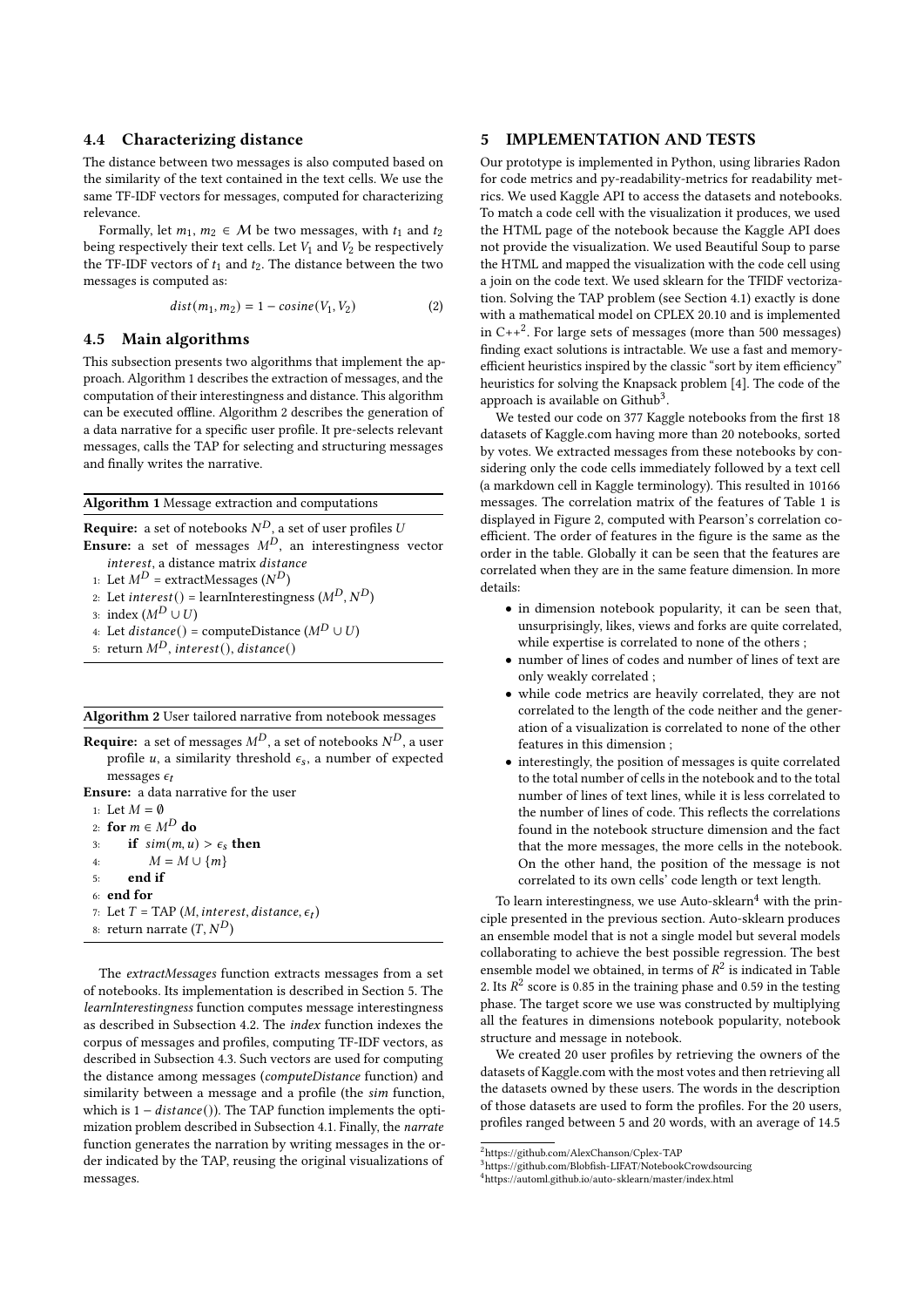## 4.4 Characterizing distance

The distance between two messages is also computed based on the similarity of the text contained in the text cells. We use the same TF-IDF vectors for messages, computed for characterizing relevance.

Formally, let  $m_1, m_2 \in M$  be two messages, with  $t_1$  and  $t_2$ being respectively their text cells. Let  $V_1$  and  $V_2$  be respectively the TF-IDF vectors of  $t_1$  and  $t_2$ . The distance between the two messages is computed as:

$$
dist(m_1, m_2) = 1 - cosine(V_1, V_2)
$$
\n<sup>(2)</sup>

## 4.5 Main algorithms

This subsection presents two algorithms that implement the approach. Algorithm [1](#page-3-1) describes the extraction of messages, and the computation of their interestingness and distance. This algorithm can be executed offline. Algorithm [2](#page-3-2) describes the generation of a data narrative for a specific user profile. It pre-selects relevant messages, calls the TAP for selecting and structuring messages and finally writes the narrative.

<span id="page-3-1"></span>Algorithm 1 Message extraction and computations

**Require:** a set of notebooks  $N^D$ , a set of user profiles  $U$ **Ensure:** a set of messages  $M<sup>D</sup>$ , an interestingness vector interest, a distance matrix distance

1: Let  $M^D$  = extractMessages ( $N^D$ )

2: Let *interest*() = learnInterestingness  $(M^D, N^D)$ 

3: index  $(M^D \cup U)$ 

- 4: Let  $distance() = computeDistance(M^D \cup U)$
- 5: return  $M^D$ , interest(), distance()

#### <span id="page-3-2"></span>Algorithm 2 User tailored narrative from notebook messages

The extractMessages function extracts messages from a set of notebooks. Its implementation is described in Section [5.](#page-3-0) The learnInterestingness function computes message interestingness as described in Subsection [4.2.](#page-2-1) The index function indexes the corpus of messages and profiles, computing TF-IDF vectors, as described in Subsection [4.3.](#page-2-2) Such vectors are used for computing the distance among messages (computeDistance function) and similarity between a message and a profile (the sim function, which is  $1 - distance()$ ). The TAP function implements the optimization problem described in Subsection [4.1.](#page-2-3) Finally, the narrate function generates the narration by writing messages in the order indicated by the TAP, reusing the original visualizations of messages.

## <span id="page-3-0"></span>5 IMPLEMENTATION AND TESTS

Our prototype is implemented in Python, using libraries Radon for code metrics and py-readability-metrics for readability metrics. We used Kaggle API to access the datasets and notebooks. To match a code cell with the visualization it produces, we used the HTML page of the notebook because the Kaggle API does not provide the visualization. We used Beautiful Soup to parse the HTML and mapped the visualization with the code cell using a join on the code text. We used sklearn for the TFIDF vectorization. Solving the TAP problem (see Section [4.1\)](#page-2-3) exactly is done with a mathematical model on CPLEX 20.10 and is implemented in  $C++^2$  $C++^2$ . For large sets of messages (more than 500 messages) finding exact solutions is intractable. We use a fast and memoryefficient heuristics inspired by the classic "sort by item efficiency" heuristics for solving the Knapsack problem [\[4\]](#page-4-15). The code of the approach is available on  $\tilde{\text{Github}}^3$  $\tilde{\text{Github}}^3$ .

We tested our code on 377 Kaggle notebooks from the first 18 datasets of Kaggle.com having more than 20 notebooks, sorted by votes. We extracted messages from these notebooks by considering only the code cells immediately followed by a text cell (a markdown cell in Kaggle terminology). This resulted in 10166 messages. The correlation matrix of the features of Table [1](#page-2-0) is displayed in Figure [2,](#page-4-16) computed with Pearson's correlation coefficient. The order of features in the figure is the same as the order in the table. Globally it can be seen that the features are correlated when they are in the same feature dimension. In more details:

- in dimension notebook popularity, it can be seen that, unsurprisingly, likes, views and forks are quite correlated, while expertise is correlated to none of the others ;
- number of lines of codes and number of lines of text are only weakly correlated ;
- while code metrics are heavily correlated, they are not correlated to the length of the code neither and the generation of a visualization is correlated to none of the other features in this dimension ;
- interestingly, the position of messages is quite correlated to the total number of cells in the notebook and to the total number of lines of text lines, while it is less correlated to the number of lines of code. This reflects the correlations found in the notebook structure dimension and the fact that the more messages, the more cells in the notebook. On the other hand, the position of the message is not correlated to its own cells' code length or text length.

To learn interestingness, we use Auto-sklearn $4$  with the principle presented in the previous section. Auto-sklearn produces an ensemble model that is not a single model but several models collaborating to achieve the best possible regression. The best ensemble model we obtained, in terms of  $R^2$  is indicated in Table [2.](#page-4-17) Its  $R^2$  score is 0.85 in the training phase and 0.59 in the testing phase. The target score we use was constructed by multiplying all the features in dimensions notebook popularity, notebook structure and message in notebook.

We created 20 user profiles by retrieving the owners of the datasets of Kaggle.com with the most votes and then retrieving all the datasets owned by these users. The words in the description of those datasets are used to form the profiles. For the 20 users, profiles ranged between 5 and 20 words, with an average of 14.5

<span id="page-3-3"></span> $^2$ <https://github.com/AlexChanson/Cplex-TAP>

<span id="page-3-4"></span><sup>3</sup><https://github.com/Blobfish-LIFAT/NotebookCrowdsourcing>

<span id="page-3-5"></span><sup>4</sup><https://automl.github.io/auto-sklearn/master/index.html>